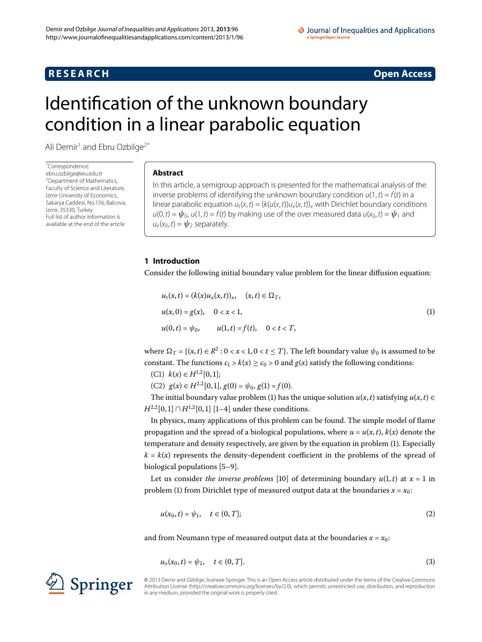# **R E S E A R C H Open Access**

# <span id="page-0-0"></span>Identification of the unknown boundary condition in a linear parabolic equation

Ali Demir<sup>1</sup> and Ebru Ozbilge<sup>2[\\*](#page-0-0)</sup>

\* Correspondence: [ebru.ozbilge@ieu.edu.tr](mailto:ebru.ozbilge@ieu.edu.tr) 2Department of Mathematics, Faculty of Science and Literature, Izmir University of Economics, Sakarya Caddesi, No.156, Balcova, Izmir, 35330, Turkey Full list of author information is available at the end of the article

## **Abstract**

In this article, a semigroup approach is presented for the mathematical analysis of the inverse problems of identifying the unknown boundary condition  $u(1, t) = f(t)$  in a linear parabolic equation  $u_t(x,t) = (k(u(x,t))u_x(x,t))_x$  with Dirichlet boundary conditions  $u(0, t) = \psi_0$ ,  $u(1, t) = f(t)$  by making use of the over measured data  $u(x_0, t) = \psi_1$  and  $u_x(x_0,t) = \psi_2$  separately.

# <span id="page-0-1"></span>**1 Introduction**

Consider the following initial boundary value problem for the linear diffusion equation:

$$
u_t(x,t) = (k(x)u_x(x,t))_x, \quad (x,t) \in \Omega_T,
$$
  
\n
$$
u(x,0) = g(x), \quad 0 < x < 1,
$$
  
\n
$$
u(0,t) = \psi_0, \quad u(1,t) = f(t), \quad 0 < t < T,
$$
\n(1)

where  $\Omega_T = \{(x, t) \in R^2 : 0 < x < 1, 0 < t \leq T\}$ . The left boundary value  $\psi_0$  is assumed to be constant. The functions  $c_1 > k(x) \ge c_0 > 0$  and  $g(x)$  satisfy the following conditions:

- (C1)  $k(x) \in H^{1,2}[0,1];$
- (C2)  $g(x) \in H^{2,2}[0,1], g(0) = \psi_0, g(1) = f(0).$

The initial boundary value problem [\(](#page-0-1)1) has the unique solution  $u(x, t)$  satisfying  $u(x, t) \in$  $H^{2,2}[0,1] ∩ H^{1,2}[0,1]$  [1[–](#page-6-2)4] under these conditions.

In physics, many applications of this problem can be found. The simple model of flame propagation and the spread of a biological populations, where  $u = u(x, t)$ ,  $k(x)$  denote the temperature and density respectively, are given by the equation in problem ([\)](#page-0-1). Especially  $k = k(x)$  represents the density-dependent coefficient in the problems of the spread of biological populations  $[5-9]$  $[5-9]$ .

Let us consider *the inverse problems* [10[\]](#page-6-6) of determining boundary  $u(1,t)$  at  $x = 1$  in problem [\(](#page-0-1)1) from Dirichlet type of measured output data at the boundaries  $x = x_0$ :

$$
u(x_0, t) = \psi_1, \quad t \in (0, T]; \tag{2}
$$

and from Neumann type of measured output data at the boundaries  $x = x_0$ :

$$
u_x(x_0, t) = \psi_2, \quad t \in (0, T].
$$
 (3)

© 2013 Demir and Ozbilge; licensee Springer. This is an Open Access article distributed under the terms of the Creative Commons Attribution License [\(http://creativecommons.org/licenses/by/2.0](http://creativecommons.org/licenses/by/2.0)), which permits unrestricted use, distribution, and reproduction in any medium, provided the original work is properly cited.

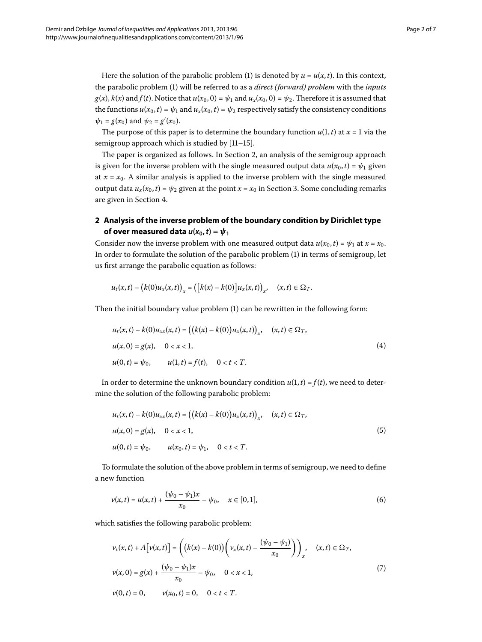Here the solution of the parabolic problem (1) is denoted by  $u = u(x, t)$ . In this context, the parabolic problem ([\)](#page-0-1) will be referred to as a *direct (forward) problem* with the *inputs*  $g(x)$ ,  $k(x)$  and  $f(t)$ . Notice that  $u(x_0, 0) = \psi_1$  and  $u_x(x_0, 0) = \psi_2$ . Therefore it is assumed that the functions  $u(x_0, t) = \psi_1$  and  $u_x(x_0, t) = \psi_2$  respectively satisfy the consistency conditions  $\psi_1 = g(x_0)$  and  $\psi_2 = g'(x_0)$ .

The purpose of this paper is to determine the boundary function  $u(1, t)$  at  $x = 1$  via the semigroup approach which is studied by  $[11-15]$  $[11-15]$ .

<span id="page-1-0"></span>The paper is organized as follows. In Section 2, an analysis of the semigroup approach is given for the inverse problem with the single measured output data  $u(x_0, t) = \psi_1$  given at  $x = x_0$ . A similar analysis is applied to the inverse problem with the single measured output data  $u_x(x_0, t) = \psi_2$  given at the point  $x = x_0$  in Section 3. Some concluding remarks are given in Section 4.

# **2 Analysis of the inverse problem of the boundary condition by Dirichlet type of over measured data**  $u(x_0, t) = \psi_1$

<span id="page-1-4"></span>Consider now the inverse problem with one measured output data  $u(x_0, t) = \psi_1$  at  $x = x_0$ . In order to formulate the solution of the parabolic problem (1[\)](#page-0-1) in terms of semigroup, let us first arrange the parabolic equation as follows:

$$
u_t(x,t) - (k(0)u_x(x,t))_x = ([k(x) - k(0)]u_x(x,t))_x, \quad (x,t) \in \Omega_T.
$$

Then the initial boundary value problem  $(1)$  can be rewritten in the following form:

$$
u_t(x,t) - k(0)u_{xx}(x,t) = ((k(x) - k(0))u_x(x,t))_x, \quad (x,t) \in \Omega_T,
$$
  

$$
u(x,0) = g(x), \quad 0 < x < 1,
$$
  

$$
u(0,t) = \psi_0, \qquad u(1,t) = f(t), \quad 0 < t < T.
$$
 (4)

<span id="page-1-3"></span>In order to determine the unknown boundary condition  $u(1, t) = f(t)$ , we need to determine the solution of the following parabolic problem:

$$
u_t(x,t) - k(0)u_{xx}(x,t) = ((k(x) - k(0))u_x(x,t))_x, \quad (x,t) \in \Omega_T,
$$
  

$$
u(x,0) = g(x), \quad 0 < x < 1,
$$
  

$$
u(0,t) = \psi_0, \qquad u(x_0,t) = \psi_1, \quad 0 < t < T.
$$
 (5)

<span id="page-1-2"></span>To formulate the solution of the above problem in terms of semigroup, we need to define a new function

$$
v(x,t) = u(x,t) + \frac{(\psi_0 - \psi_1)x}{x_0} - \psi_0, \quad x \in [0,1],
$$
 (6)

<span id="page-1-1"></span>which satisfies the following parabolic problem:

$$
\nu_t(x,t) + A[\nu(x,t)] = ((k(x) - k(0))(\nu_x(x,t) - \frac{(\psi_0 - \psi_1)}{x_0}))_x, \quad (x,t) \in \Omega_T,
$$
  

$$
\nu(x,0) = g(x) + \frac{(\psi_0 - \psi_1)x}{x_0} - \psi_0, \quad 0 < x < 1,
$$
  

$$
\nu(0,t) = 0, \qquad \nu(x_0,t) = 0, \quad 0 < t < T.
$$
 (7)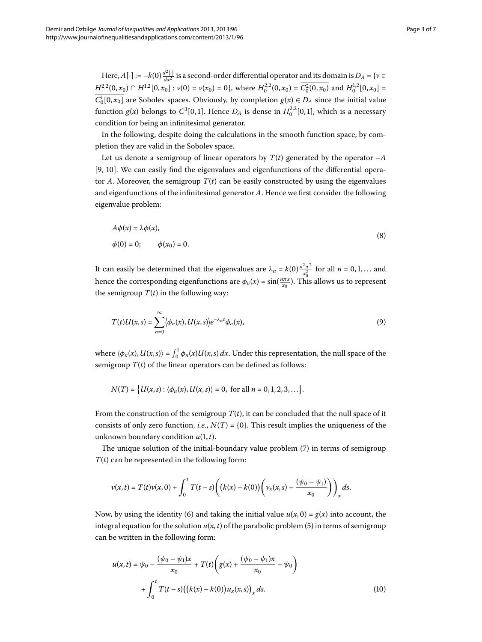Here,  $A[\cdot] := -k(0) \frac{d^2[\cdot]}{dx^2}$  is a second-order differential operator and its domain is  $D_A = \{v \in A\}$  $H^{2,2}(0, x_0) \cap H^{1,2}[0, x_0]: v(0) = v(x_0) = 0$ , where  $H_0^{2,2}(0, x_0) = \overline{C_0^2(0, x_0)}$  and  $H_0^{1,2}[0, x_0] =$  $C_0^1[0, x_0]$  are Sobolev spaces. Obviously, by completion  $g(x) \in D_A$  since the initial value function  $g(x)$  belongs to  $C^3[0,1]$ . Hence  $D_A$  is dense in  $H_0^{2,2}[0,1]$ , which is a necessary condition for being an infinitesimal generator.

In the following, despite doing the calculations in the smooth function space, by completion they are valid in the Sobolev space.

Let us denote a semigroup of linear operators by  $T(t)$  generated by the operator  $-A$ [9[,](#page-6-5) 10]. We can easily find the eigenvalues and eigenfunctions of the differential operator *A*. Moreover, the semigroup  $T(t)$  can be easily constructed by using the eigenvalues and eigenfunctions of the infinitesimal generator *A*. Hence we first consider the following eigenvalue problem:

$$
A\phi(x) = \lambda\phi(x),
$$
  
\n
$$
\phi(0) = 0; \qquad \phi(x_0) = 0.
$$
\n(8)

It can easily be determined that the eigenvalues are  $\lambda_n = k(0) \frac{n^2 \pi^2}{x_0^2}$  for all  $n = 0, 1, ...$  and hence the corresponding eigenfunctions are  $\phi_n(x) = \sin(\frac{n\pi x}{x_0})$ . This allows us to represent the semigroup  $T(t)$  in the following way:

$$
T(t)U(x,s)=\sum_{n=0}^{\infty}\langle\phi_n(x),U(x,s)\rangle e^{-\lambda_nt}\phi_n(x),\qquad(9)
$$

where  $\langle \phi_n(x), U(x, s) \rangle = \int_0^1 \phi_n(x) U(x, s) dx$ . Under this representation, the null space of the semigroup  $T(t)$  of the linear operators can be defined as follows:

 $N(T) = \{U(x, s) : \langle \phi_n(x), U(x, s) \rangle = 0, \text{ for all } n = 0, 1, 2, 3, \ldots \}.$ 

From the construction of the semigroup  $T(t)$ , it can be concluded that the null space of it consists of only zero function, *i.e.*,  $N(T) = \{0\}$ . This result implies the uniqueness of the unknown boundary condition  $u(1, t)$ .

The unique solution of the initial-boundary value problem [\(](#page-1-1)7) in terms of semigroup  $T(t)$  can be represented in the following form:

$$
v(x,t) = T(t)v(x,0) + \int_0^t T(t-s) \bigg( \big(k(x) - k(0)\big) \bigg(v_x(x,s) - \frac{(\psi_0 - \psi_1)}{x_0}\bigg)\bigg)_x ds.
$$

Now, by using the identity (6) and taking the initial value  $u(x, 0) = g(x)$  into account, the integral equation for the solution  $u(x, t)$  $u(x, t)$  of the parabolic problem (5) in terms of semigroup can be written in the following form:

$$
u(x,t) = \psi_0 - \frac{(\psi_0 - \psi_1)x}{x_0} + T(t) \left( g(x) + \frac{(\psi_0 - \psi_1)x}{x_0} - \psi_0 \right) + \int_0^t T(t-s) \left( (k(x) - k(0)) u_x(x,s) \right)_x ds.
$$
 (10)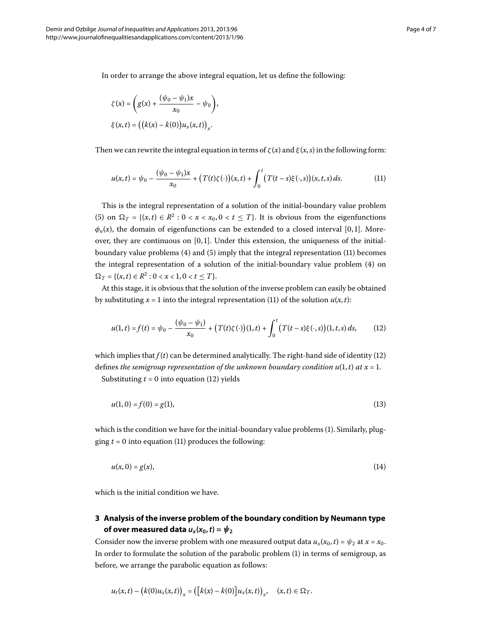<span id="page-3-1"></span>In order to arrange the above integral equation, let us define the following:

$$
\zeta(x) = \left(g(x) + \frac{(\psi_0 - \psi_1)x}{x_0} - \psi_0\right),
$$
  

$$
\xi(x, t) = \left(\left(k(x) - k(0)\right)u_x(x, t)\right)_x.
$$

Then we can rewrite the integral equation in terms of  $\zeta(x)$  and  $\xi(x, s)$  in the following form:

$$
u(x,t) = \psi_0 - \frac{(\psi_0 - \psi_1)x}{x_0} + (T(t)\zeta(\cdot))(x,t) + \int_0^t (T(t-s)\xi(\cdot,s))(x,t,s) \, ds. \tag{11}
$$

This is the integral representation of a solution of the initial-boundary value problem (5[\)](#page-1-3) on  $\Omega_T = \{(x, t) \in \mathbb{R}^2 : 0 < x < x_0, 0 < t \leq T\}$ . It is obvious from the eigenfunctions  $\phi_n(x)$ , the domain of eigenfunctions can be extended to a closed interval [0,1]. Moreover, they are continuous on  $[0, 1]$ . Under this extension, the uniqueness of the initialboundary value problems  $(4)$  $(4)$  $(4)$  and  $(5)$  imply that the integral representation  $(11)$  becomes the integral representation of a solution of the initial-boundary value problem (4) on  $\Omega_T = \{(x, t) \in R^2 : 0 < x < 1, 0 < t < T\}.$ 

<span id="page-3-2"></span>At this stage, it is obvious that the solution of the inverse problem can easily be obtained by substituting  $x = 1$  into the integral representation (11) of the solution  $u(x, t)$ :

$$
u(1,t) = f(t) = \psi_0 - \frac{(\psi_0 - \psi_1)}{x_0} + (T(t)\zeta(\cdot))(1,t) + \int_0^t (T(t-s)\xi(\cdot,s))(1,t,s) \, ds,\tag{12}
$$

which implies that  $f(t)$  can be determined analytically. The right-hand side of identity (12) defines *the semigroup representation of the unknown boundary condition*  $u(1,t)$  *at*  $x = 1$ . Substituting  $t = 0$  into equation (12[\)](#page-3-2) yields

<span id="page-3-3"></span>

$$
u(1,0) = f(0) = g(1),
$$
\n(13)

<span id="page-3-0"></span>which is the condition we have for the initial-boundary value problems (1[\)](#page-0-1). Similarly, plugging  $t = 0$  into equation (11[\)](#page-3-1) produces the following:

$$
u(x,0) = g(x),\tag{14}
$$

which is the initial condition we have.

# **3 Analysis of the inverse problem of the boundary condition by Neumann type of over measured data**  $u_x(x_0, t) = \psi_2$

Consider now the inverse problem with one measured output data  $u_x(x_0, t) = \psi_2$  at  $x = x_0$ . In order to formulate the solution of the parabolic problem  $(1)$  $(1)$  in terms of semigroup, as before, we arrange the parabolic equation as follows:

$$
u_t(x,t) - (k(0)u_x(x,t))_x = ([k(x) - k(0)]u_x(x,t))_x, \quad (x,t) \in \Omega_T.
$$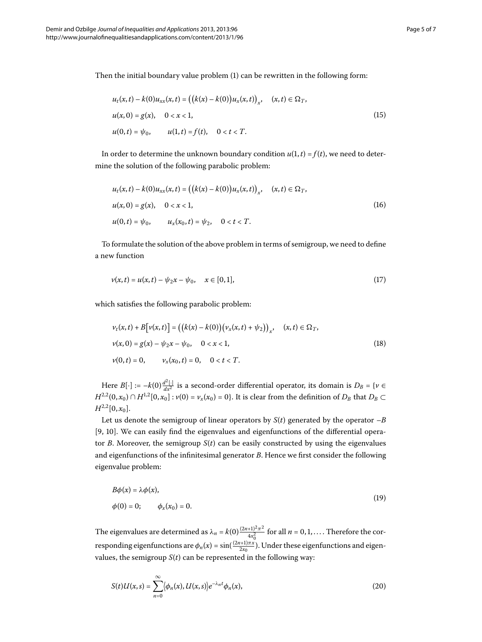<span id="page-4-2"></span>Then the initial boundary value problem  $(1)$  can be rewritten in the following form:

$$
u_t(x,t) - k(0)u_{xx}(x,t) = ((k(x) - k(0))u_x(x,t))_x, \quad (x,t) \in \Omega_T,
$$
  

$$
u(x,0) = g(x), \quad 0 < x < 1,
$$
  

$$
u(0,t) = \psi_0, \qquad u(1,t) = f(t), \quad 0 < t < T.
$$
 (15)

<span id="page-4-0"></span>In order to determine the unknown boundary condition  $u(1, t) = f(t)$ , we need to determine the solution of the following parabolic problem:

$$
u_t(x,t) - k(0)u_{xx}(x,t) = ((k(x) - k(0))u_x(x,t))_x, \quad (x,t) \in \Omega_T,
$$
  

$$
u(x,0) = g(x), \quad 0 < x < 1,
$$
  

$$
u(0,t) = \psi_0, \qquad u_x(x_0,t) = \psi_2, \quad 0 < t < T.
$$
 (16)

<span id="page-4-1"></span>To formulate the solution of the above problem in terms of semigroup, we need to define a new function

$$
\nu(x,t) = u(x,t) - \psi_2 x - \psi_0, \quad x \in [0,1], \tag{17}
$$

which satisfies the following parabolic problem:

$$
\nu_t(x,t) + B[\nu(x,t)] = ((k(x) - k(0))(\nu_x(x,t) + \psi_2))_x, \quad (x,t) \in \Omega_T,
$$
  

$$
\nu(x,0) = g(x) - \psi_2 x - \psi_0, \quad 0 < x < 1,
$$
  

$$
\nu(0,t) = 0, \qquad \nu_x(x_0,t) = 0, \quad 0 < t < T.
$$
 (18)

Here  $B[\cdot] := -k(0) \frac{d^2[\cdot]}{dx^2}$  is a second-order differential operator, its domain is  $D_B = \{v \in$ *H*<sup>2,2</sup>(0, *x*<sub>0</sub>) ∩ *H*<sup>1,2</sup>[0, *x*<sub>0</sub>] : *v*(0) = *v<sub>x</sub>*(*x*<sub>0</sub>) = 0}. It is clear from the definition of *D<sub>B</sub>* that *D<sub>B</sub>* ⊂  $H^{2,2}[0, x_0].$ 

Let us denote the semigroup of linear operators by  $S(t)$  generated by the operator  $-B$ [9[,](#page-6-5) 10]. We can easily find the eigenvalues and eigenfunctions of the differential operator *B*. Moreover, the semigroup  $S(t)$  can be easily constructed by using the eigenvalues and eigenfunctions of the infinitesimal generator *B*. Hence we first consider the following eigenvalue problem:

$$
B\phi(x) = \lambda \phi(x),
$$
  
\n
$$
\phi(0) = 0; \qquad \phi_x(x_0) = 0.
$$
\n(19)

The eigenvalues are determined as  $\lambda_n = k(0) \frac{(2n+1)^2 \pi^2}{4x_0^2}$  for all  $n = 0, 1, ...$  Therefore the corresponding eigenfunctions are  $\phi_n(x) = \sin(\frac{(2n+1)\pi x}{2x_0})$ . Under these eigenfunctions and eigenvalues, the semigroup  $S(t)$  can be represented in the following way:

$$
S(t)U(x,s)=\sum_{n=0}^{\infty}\langle\phi_n(x),U(x,s)\rangle e^{-\lambda_nt}\phi_n(x),\qquad(20)
$$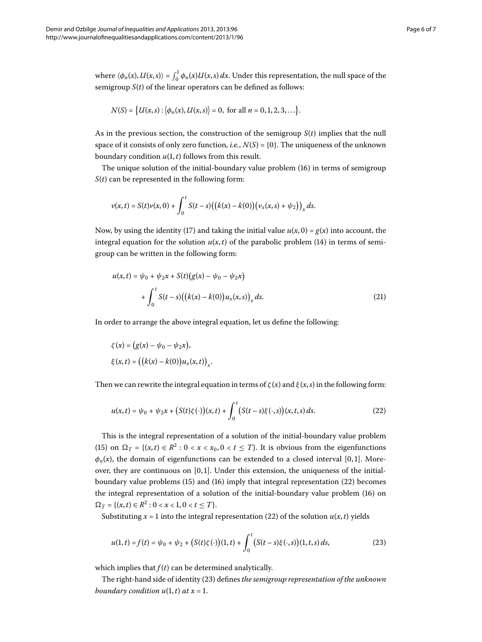where  $\langle \phi_n(x), U(x, s) \rangle = \int_0^1 \phi_n(x) U(x, s) dx$ . Under this representation, the null space of the semigroup *S*(*t*) of the linear operators can be defined as follows:

$$
N(S) = \{U(x, s): |\phi_n(x), U(x, s)| = 0, \text{ for all } n = 0, 1, 2, 3, \ldots\}.
$$

As in the previous section, the construction of the semigroup *S*(*t*) implies that the null space of it consists of only zero function, *i.e.*,  $N(S) = \{0\}$ . The uniqueness of the unknown boundary condition  $u(1, t)$  follows from this result.

The unique solution of the initial-boundary value problem [\(](#page-4-0)16) in terms of semigroup *S*(*t*) can be represented in the following form:

$$
v(x,t) = S(t)v(x,0) + \int_0^t S(t-s) ((k(x) - k(0)) (v_x(x,s) + \psi_2))_x ds.
$$

Now, by using the identity (17[\)](#page-4-1) and taking the initial value  $u(x, 0) = g(x)$  into account, the integral equation for the solution  $u(x, t)$  $u(x, t)$  $u(x, t)$  of the parabolic problem (14) in terms of semigroup can be written in the following form:

$$
u(x,t) = \psi_0 + \psi_2 x + S(t) (g(x) - \psi_0 - \psi_2 x)
$$
  
+ 
$$
\int_0^t S(t-s) ((k(x) - k(0))u_x(x,s))_x ds.
$$
 (21)

<span id="page-5-0"></span>In order to arrange the above integral equation, let us define the following:

$$
\zeta(x) = (g(x) - \psi_0 - \psi_2 x),
$$
  

$$
\xi(x, t) = ((k(x) - k(0))u_x(x, t))_x.
$$

Then we can rewrite the integral equation in terms of  $\zeta(x)$  and  $\xi(x, s)$  in the following form:

$$
u(x,t) = \psi_0 + \psi_2 x + (S(t)\zeta(\cdot))(x,t) + \int_0^t (S(t-s)\xi(\cdot,s))(x,t,s) \, ds. \tag{22}
$$

<span id="page-5-1"></span>This is the integral representation of a solution of the initial-boundary value problem (15[\)](#page-4-2) on  $\Omega_T = \{(x, t) \in R^2 : 0 < x < x_0, 0 < t \le T\}$ . It is obvious from the eigenfunctions  $\phi_n(x)$ , the domain of eigenfunctions can be extended to a closed interval [0,1]. Moreover, they are continuous on  $[0, 1]$ . Under this extension, the uniqueness of the initialboundary value problems  $(15)$  $(15)$  and  $(16)$  $(16)$  imply that integral representation  $(22)$  becomes the integral representation of a solution of the initial-boundary value problem (16) on  $\Omega_T = \{(x, t) \in R^2 : 0 < x < 1, 0 < t \le T\}.$ 

Substituting  $x = 1$  into the integral representation (22[\)](#page-5-0) of the solution  $u(x, t)$  yields

$$
u(1,t) = f(t) = \psi_0 + \psi_2 + (S(t)\zeta(\cdot))(1,t) + \int_0^t (S(t-s)\xi(\cdot,s))(1,t,s) \, ds,\tag{23}
$$

which implies that  $f(t)$  can be determined analytically.

The right-hand side of identity (23) defines *the semigroup representation of the unknown boundary condition*  $u(1,t)$  *at*  $x = 1$ *.*